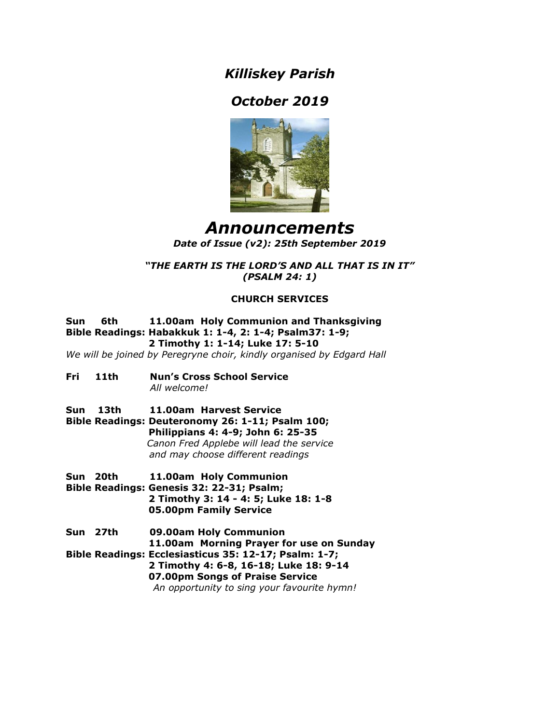*Killiskey Parish*

# *October 2019*



## *Announcements Date of Issue (v2): 25th September 2019*

*"THE EARTH IS THE LORD'S AND ALL THAT IS IN IT" (PSALM 24: 1)*

## **CHURCH SERVICES**

**Sun 6th 11.00am Holy Communion and Thanksgiving Bible Readings: Habakkuk 1: 1-4, 2: 1-4; Psalm37: 1-9; 2 Timothy 1: 1-14; Luke 17: 5-10**

*We will be joined by Peregryne choir, kindly organised by Edgard Hall*

- **Fri 11th Nun's Cross School Service**  *All welcome!*
- **Sun 13th 11.00am Harvest Service Bible Readings: Deuteronomy 26: 1-11; Psalm 100; Philippians 4: 4-9; John 6: 25-35**  *Canon Fred Applebe will lead the service and may choose different readings*
- **Sun 20th 11.00am Holy Communion Bible Readings: Genesis 32: 22-31; Psalm; 2 Timothy 3: 14 - 4: 5; Luke 18: 1-8**
	- **05.00pm Family Service**
- **Sun 27th 09.00am Holy Communion 11.00am Morning Prayer for use on Sunday Bible Readings: Ecclesiasticus 35: 12-17; Psalm: 1-7; 2 Timothy 4: 6-8, 16-18; Luke 18: 9-14 07.00pm Songs of Praise Service**  *An opportunity to sing your favourite hymn!*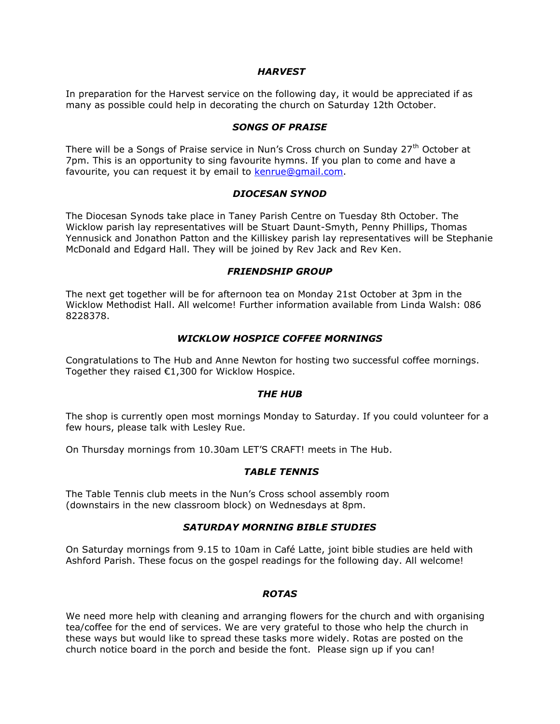#### *HARVEST*

In preparation for the Harvest service on the following day, it would be appreciated if as many as possible could help in decorating the church on Saturday 12th October.

#### *SONGS OF PRAISE*

There will be a Songs of Praise service in Nun's Cross church on Sunday 27<sup>th</sup> October at 7pm. This is an opportunity to sing favourite hymns. If you plan to come and have a favourite, you can request it by email to kenrue@gmail.com.

#### *DIOCESAN SYNOD*

The Diocesan Synods take place in Taney Parish Centre on Tuesday 8th October. The Wicklow parish lay representatives will be Stuart Daunt-Smyth, Penny Phillips, Thomas Yennusick and Jonathon Patton and the Killiskey parish lay representatives will be Stephanie McDonald and Edgard Hall. They will be joined by Rev Jack and Rev Ken.

#### *FRIENDSHIP GROUP*

The next get together will be for afternoon tea on Monday 21st October at 3pm in the Wicklow Methodist Hall. All welcome! Further information available from Linda Walsh: 086 8228378.

#### *WICKLOW HOSPICE COFFEE MORNINGS*

Congratulations to The Hub and Anne Newton for hosting two successful coffee mornings. Together they raised €1,300 for Wicklow Hospice.

#### *THE HUB*

The shop is currently open most mornings Monday to Saturday. If you could volunteer for a few hours, please talk with Lesley Rue.

On Thursday mornings from 10.30am LET'S CRAFT! meets in The Hub.

## *TABLE TENNIS*

The Table Tennis club meets in the Nun's Cross school assembly room (downstairs in the new classroom block) on Wednesdays at 8pm.

## *SATURDAY MORNING BIBLE STUDIES*

On Saturday mornings from 9.15 to 10am in Café Latte, joint bible studies are held with Ashford Parish. These focus on the gospel readings for the following day. All welcome!

## *ROTAS*

We need more help with cleaning and arranging flowers for the church and with organising tea/coffee for the end of services. We are very grateful to those who help the church in these ways but would like to spread these tasks more widely. Rotas are posted on the church notice board in the porch and beside the font. Please sign up if you can!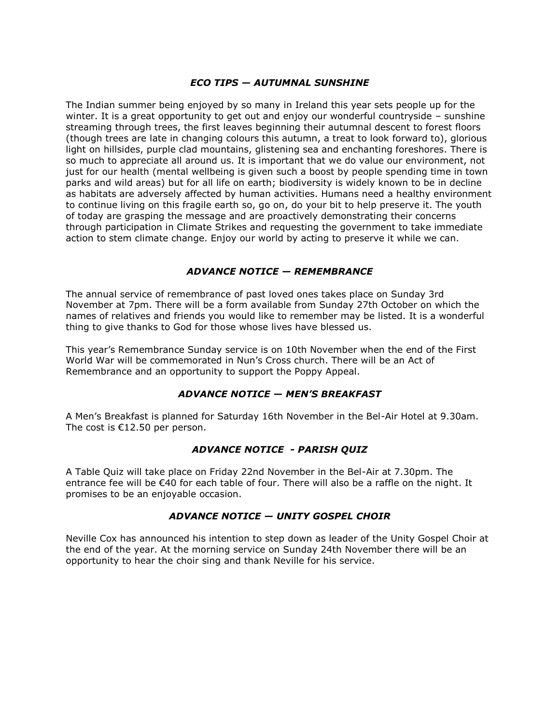## *ECO TIPS — AUTUMNAL SUNSHINE*

The Indian summer being enjoyed by so many in Ireland this year sets people up for the winter. It is a great opportunity to get out and enjoy our wonderful countryside – sunshine streaming through trees, the first leaves beginning their autumnal descent to forest floors (though trees are late in changing colours this autumn, a treat to look forward to), glorious light on hillsides, purple clad mountains, glistening sea and enchanting foreshores. There is so much to appreciate all around us. It is important that we do value our environment, not just for our health (mental wellbeing is given such a boost by people spending time in town parks and wild areas) but for all life on earth; biodiversity is widely known to be in decline as habitats are adversely affected by human activities. Humans need a healthy environment to continue living on this fragile earth so, go on, do your bit to help preserve it. The youth of today are grasping the message and are proactively demonstrating their concerns through participation in Climate Strikes and requesting the government to take immediate action to stem climate change. Enjoy our world by acting to preserve it while we can.

## *ADVANCE NOTICE — REMEMBRANCE*

The annual service of remembrance of past loved ones takes place on Sunday 3rd November at 7pm. There will be a form available from Sunday 27th October on which the names of relatives and friends you would like to remember may be listed. It is a wonderful thing to give thanks to God for those whose lives have blessed us.

This year's Remembrance Sunday service is on 10th November when the end of the First World War will be commemorated in Nun's Cross church. There will be an Act of Remembrance and an opportunity to support the Poppy Appeal.

## *ADVANCE NOTICE — MEN'S BREAKFAST*

A Men's Breakfast is planned for Saturday 16th November in the Bel-Air Hotel at 9.30am. The cost is €12.50 per person.

## *ADVANCE NOTICE - PARISH QUIZ*

A Table Quiz will take place on Friday 22nd November in the Bel-Air at 7.30pm. The entrance fee will be €40 for each table of four. There will also be a raffle on the night. It promises to be an enjoyable occasion.

## *ADVANCE NOTICE — UNITY GOSPEL CHOIR*

Neville Cox has announced his intention to step down as leader of the Unity Gospel Choir at the end of the year. At the morning service on Sunday 24th November there will be an opportunity to hear the choir sing and thank Neville for his service.